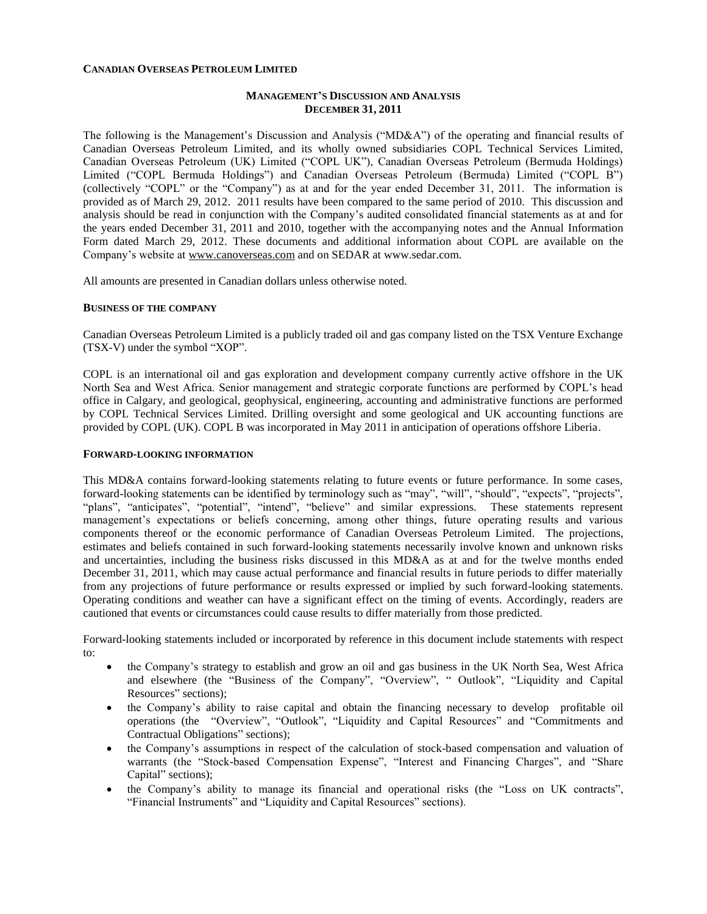#### **CANADIAN OVERSEAS PETROLEUM LIMITED**

## **MANAGEMENT'S DISCUSSION AND ANALYSIS DECEMBER 31, 2011**

The following is the Management's Discussion and Analysis ("MD&A") of the operating and financial results of Canadian Overseas Petroleum Limited, and its wholly owned subsidiaries COPL Technical Services Limited, Canadian Overseas Petroleum (UK) Limited ("COPL UK"), Canadian Overseas Petroleum (Bermuda Holdings) Limited ("COPL Bermuda Holdings") and Canadian Overseas Petroleum (Bermuda) Limited ("COPL B") (collectively "COPL" or the "Company") as at and for the year ended December 31, 2011. The information is provided as of March 29, 2012. 2011 results have been compared to the same period of 2010. This discussion and analysis should be read in conjunction with the Company's audited consolidated financial statements as at and for the years ended December 31, 2011 and 2010, together with the accompanying notes and the Annual Information Form dated March 29, 2012. These documents and additional information about COPL are available on the Company's website at [www.canoverseas.com](http://www.canoverseas.com/) and on SEDAR at [www.sedar.com.](http://www.sedar.com/)

All amounts are presented in Canadian dollars unless otherwise noted.

#### **BUSINESS OF THE COMPANY**

Canadian Overseas Petroleum Limited is a publicly traded oil and gas company listed on the TSX Venture Exchange (TSX-V) under the symbol "XOP".

COPL is an international oil and gas exploration and development company currently active offshore in the UK North Sea and West Africa. Senior management and strategic corporate functions are performed by COPL's head office in Calgary, and geological, geophysical, engineering, accounting and administrative functions are performed by COPL Technical Services Limited. Drilling oversight and some geological and UK accounting functions are provided by COPL (UK). COPL B was incorporated in May 2011 in anticipation of operations offshore Liberia.

#### **FORWARD-LOOKING INFORMATION**

This MD&A contains forward-looking statements relating to future events or future performance. In some cases, forward-looking statements can be identified by terminology such as "may", "will", "should", "expects", "projects", "plans", "anticipates", "potential", "intend", "believe" and similar expressions. These statements represent management's expectations or beliefs concerning, among other things, future operating results and various components thereof or the economic performance of Canadian Overseas Petroleum Limited. The projections, estimates and beliefs contained in such forward-looking statements necessarily involve known and unknown risks and uncertainties, including the business risks discussed in this MD&A as at and for the twelve months ended December 31, 2011, which may cause actual performance and financial results in future periods to differ materially from any projections of future performance or results expressed or implied by such forward-looking statements. Operating conditions and weather can have a significant effect on the timing of events. Accordingly, readers are cautioned that events or circumstances could cause results to differ materially from those predicted.

Forward-looking statements included or incorporated by reference in this document include statements with respect to:

- the Company's strategy to establish and grow an oil and gas business in the UK North Sea, West Africa and elsewhere (the "Business of the Company", "Overview", " Outlook", "Liquidity and Capital Resources" sections);
- the Company's ability to raise capital and obtain the financing necessary to develop profitable oil operations (the "Overview", "Outlook", "Liquidity and Capital Resources" and "Commitments and Contractual Obligations" sections);
- the Company's assumptions in respect of the calculation of stock-based compensation and valuation of warrants (the "Stock-based Compensation Expense", "Interest and Financing Charges", and "Share Capital" sections);
- the Company's ability to manage its financial and operational risks (the "Loss on UK contracts", "Financial Instruments" and "Liquidity and Capital Resources" sections).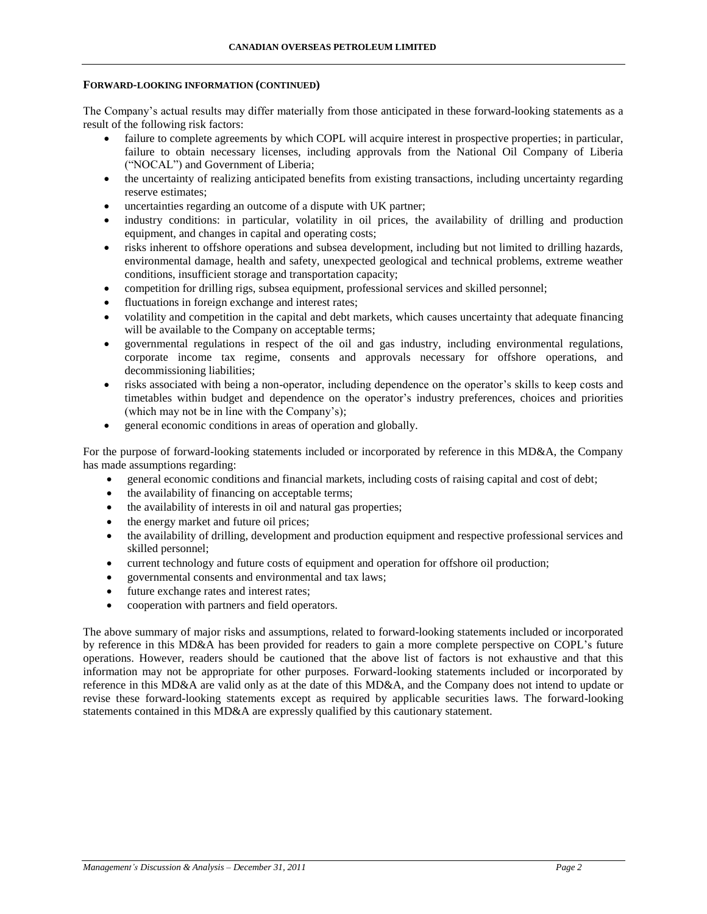#### **FORWARD-LOOKING INFORMATION (CONTINUED)**

The Company's actual results may differ materially from those anticipated in these forward-looking statements as a result of the following risk factors:

- failure to complete agreements by which COPL will acquire interest in prospective properties; in particular, failure to obtain necessary licenses, including approvals from the National Oil Company of Liberia ("NOCAL") and Government of Liberia;
- the uncertainty of realizing anticipated benefits from existing transactions, including uncertainty regarding reserve estimates;
- uncertainties regarding an outcome of a dispute with UK partner;
- industry conditions: in particular, volatility in oil prices, the availability of drilling and production equipment, and changes in capital and operating costs;
- risks inherent to offshore operations and subsea development, including but not limited to drilling hazards, environmental damage, health and safety, unexpected geological and technical problems, extreme weather conditions, insufficient storage and transportation capacity;
- competition for drilling rigs, subsea equipment, professional services and skilled personnel;
- fluctuations in foreign exchange and interest rates;
- volatility and competition in the capital and debt markets, which causes uncertainty that adequate financing will be available to the Company on acceptable terms;
- governmental regulations in respect of the oil and gas industry, including environmental regulations, corporate income tax regime, consents and approvals necessary for offshore operations, and decommissioning liabilities;
- risks associated with being a non-operator, including dependence on the operator's skills to keep costs and timetables within budget and dependence on the operator's industry preferences, choices and priorities (which may not be in line with the Company's);
- general economic conditions in areas of operation and globally.

For the purpose of forward-looking statements included or incorporated by reference in this MD&A, the Company has made assumptions regarding:

- general economic conditions and financial markets, including costs of raising capital and cost of debt;
- the availability of financing on acceptable terms;
- the availability of interests in oil and natural gas properties;
- the energy market and future oil prices;
- the availability of drilling, development and production equipment and respective professional services and skilled personnel;
- current technology and future costs of equipment and operation for offshore oil production;
- governmental consents and environmental and tax laws;
- future exchange rates and interest rates;
- cooperation with partners and field operators.

The above summary of major risks and assumptions, related to forward-looking statements included or incorporated by reference in this MD&A has been provided for readers to gain a more complete perspective on COPL's future operations. However, readers should be cautioned that the above list of factors is not exhaustive and that this information may not be appropriate for other purposes. Forward-looking statements included or incorporated by reference in this MD&A are valid only as at the date of this MD&A, and the Company does not intend to update or revise these forward-looking statements except as required by applicable securities laws. The forward-looking statements contained in this MD&A are expressly qualified by this cautionary statement.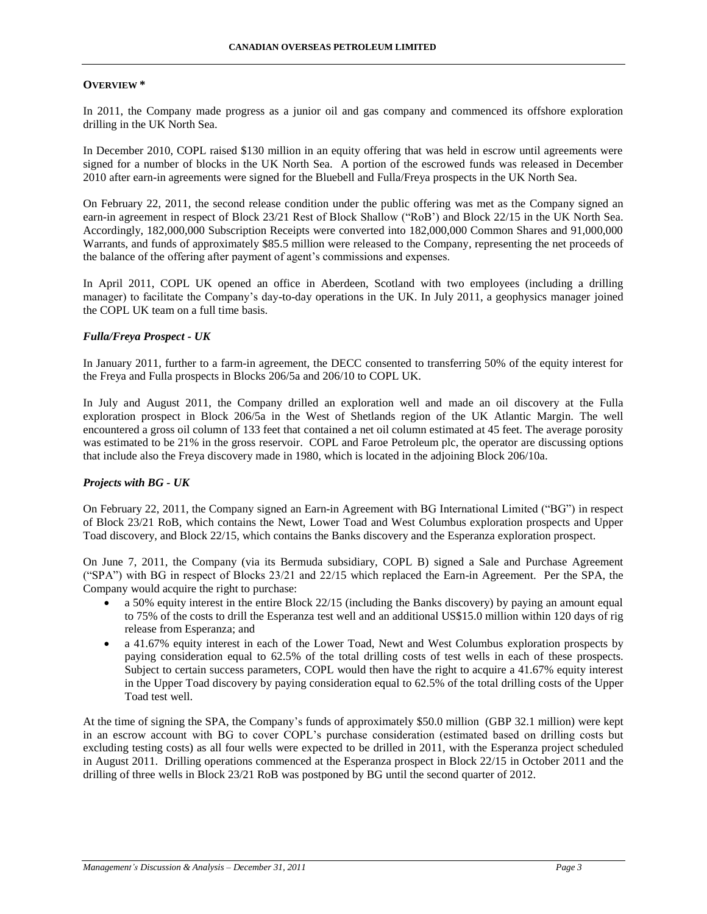## **OVERVIEW \***

In 2011, the Company made progress as a junior oil and gas company and commenced its offshore exploration drilling in the UK North Sea.

In December 2010, COPL raised \$130 million in an equity offering that was held in escrow until agreements were signed for a number of blocks in the UK North Sea. A portion of the escrowed funds was released in December 2010 after earn-in agreements were signed for the Bluebell and Fulla/Freya prospects in the UK North Sea.

On February 22, 2011, the second release condition under the public offering was met as the Company signed an earn-in agreement in respect of Block 23/21 Rest of Block Shallow ("RoB') and Block 22/15 in the UK North Sea. Accordingly, 182,000,000 Subscription Receipts were converted into 182,000,000 Common Shares and 91,000,000 Warrants, and funds of approximately \$85.5 million were released to the Company, representing the net proceeds of the balance of the offering after payment of agent's commissions and expenses.

In April 2011, COPL UK opened an office in Aberdeen, Scotland with two employees (including a drilling manager) to facilitate the Company's day-to-day operations in the UK. In July 2011, a geophysics manager joined the COPL UK team on a full time basis.

## *Fulla/Freya Prospect - UK*

In January 2011, further to a farm-in agreement, the DECC consented to transferring 50% of the equity interest for the Freya and Fulla prospects in Blocks 206/5a and 206/10 to COPL UK.

In July and August 2011, the Company drilled an exploration well and made an oil discovery at the Fulla exploration prospect in Block 206/5a in the West of Shetlands region of the UK Atlantic Margin. The well encountered a gross oil column of 133 feet that contained a net oil column estimated at 45 feet. The average porosity was estimated to be 21% in the gross reservoir. COPL and Faroe Petroleum plc, the operator are discussing options that include also the Freya discovery made in 1980, which is located in the adjoining Block 206/10a.

# *Projects with BG - UK*

On February 22, 2011, the Company signed an Earn-in Agreement with BG International Limited ("BG") in respect of Block 23/21 RoB, which contains the Newt, Lower Toad and West Columbus exploration prospects and Upper Toad discovery, and Block 22/15, which contains the Banks discovery and the Esperanza exploration prospect.

On June 7, 2011, the Company (via its Bermuda subsidiary, COPL B) signed a Sale and Purchase Agreement ("SPA") with BG in respect of Blocks 23/21 and 22/15 which replaced the Earn-in Agreement. Per the SPA, the Company would acquire the right to purchase:

- $\bullet$  a 50% equity interest in the entire Block 22/15 (including the Banks discovery) by paying an amount equal to 75% of the costs to drill the Esperanza test well and an additional US\$15.0 million within 120 days of rig release from Esperanza; and
- a 41.67% equity interest in each of the Lower Toad, Newt and West Columbus exploration prospects by paying consideration equal to 62.5% of the total drilling costs of test wells in each of these prospects. Subject to certain success parameters, COPL would then have the right to acquire a 41.67% equity interest in the Upper Toad discovery by paying consideration equal to 62.5% of the total drilling costs of the Upper Toad test well.

At the time of signing the SPA, the Company's funds of approximately \$50.0 million (GBP 32.1 million) were kept in an escrow account with BG to cover COPL's purchase consideration (estimated based on drilling costs but excluding testing costs) as all four wells were expected to be drilled in 2011, with the Esperanza project scheduled in August 2011. Drilling operations commenced at the Esperanza prospect in Block 22/15 in October 2011 and the drilling of three wells in Block 23/21 RoB was postponed by BG until the second quarter of 2012.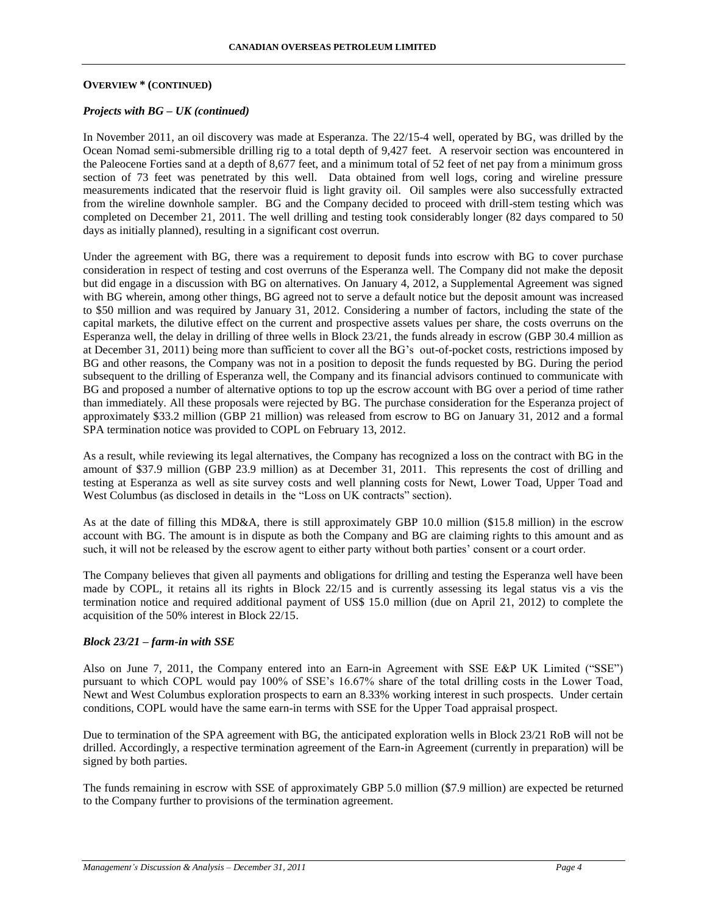## **OVERVIEW \* (CONTINUED)**

## *Projects with BG – UK (continued)*

In November 2011, an oil discovery was made at Esperanza. The 22/15-4 well, operated by BG, was drilled by the Ocean Nomad semi-submersible drilling rig to a total depth of 9,427 feet. A reservoir section was encountered in the Paleocene Forties sand at a depth of 8,677 feet, and a minimum total of 52 feet of net pay from a minimum gross section of 73 feet was penetrated by this well. Data obtained from well logs, coring and wireline pressure measurements indicated that the reservoir fluid is light gravity oil. Oil samples were also successfully extracted from the wireline downhole sampler. BG and the Company decided to proceed with drill-stem testing which was completed on December 21, 2011. The well drilling and testing took considerably longer (82 days compared to 50 days as initially planned), resulting in a significant cost overrun.

Under the agreement with BG, there was a requirement to deposit funds into escrow with BG to cover purchase consideration in respect of testing and cost overruns of the Esperanza well. The Company did not make the deposit but did engage in a discussion with BG on alternatives. On January 4, 2012, a Supplemental Agreement was signed with BG wherein, among other things, BG agreed not to serve a default notice but the deposit amount was increased to \$50 million and was required by January 31, 2012. Considering a number of factors, including the state of the capital markets, the dilutive effect on the current and prospective assets values per share, the costs overruns on the Esperanza well, the delay in drilling of three wells in Block 23/21, the funds already in escrow (GBP 30.4 million as at December 31, 2011) being more than sufficient to cover all the BG's out-of-pocket costs, restrictions imposed by BG and other reasons, the Company was not in a position to deposit the funds requested by BG. During the period subsequent to the drilling of Esperanza well, the Company and its financial advisors continued to communicate with BG and proposed a number of alternative options to top up the escrow account with BG over a period of time rather than immediately. All these proposals were rejected by BG. The purchase consideration for the Esperanza project of approximately \$33.2 million (GBP 21 million) was released from escrow to BG on January 31, 2012 and a formal SPA termination notice was provided to COPL on February 13, 2012.

As a result, while reviewing its legal alternatives, the Company has recognized a loss on the contract with BG in the amount of \$37.9 million (GBP 23.9 million) as at December 31, 2011. This represents the cost of drilling and testing at Esperanza as well as site survey costs and well planning costs for Newt, Lower Toad, Upper Toad and West Columbus (as disclosed in details in the "Loss on UK contracts" section).

As at the date of filling this MD&A, there is still approximately GBP 10.0 million (\$15.8 million) in the escrow account with BG. The amount is in dispute as both the Company and BG are claiming rights to this amount and as such, it will not be released by the escrow agent to either party without both parties' consent or a court order.

The Company believes that given all payments and obligations for drilling and testing the Esperanza well have been made by COPL, it retains all its rights in Block 22/15 and is currently assessing its legal status vis a vis the termination notice and required additional payment of US\$ 15.0 million (due on April 21, 2012) to complete the acquisition of the 50% interest in Block 22/15.

#### *Block 23/21 – farm-in with SSE*

Also on June 7, 2011, the Company entered into an Earn-in Agreement with SSE E&P UK Limited ("SSE") pursuant to which COPL would pay 100% of SSE's 16.67% share of the total drilling costs in the Lower Toad, Newt and West Columbus exploration prospects to earn an 8.33% working interest in such prospects. Under certain conditions, COPL would have the same earn-in terms with SSE for the Upper Toad appraisal prospect.

Due to termination of the SPA agreement with BG, the anticipated exploration wells in Block 23/21 RoB will not be drilled. Accordingly, a respective termination agreement of the Earn-in Agreement (currently in preparation) will be signed by both parties.

The funds remaining in escrow with SSE of approximately GBP 5.0 million (\$7.9 million) are expected be returned to the Company further to provisions of the termination agreement.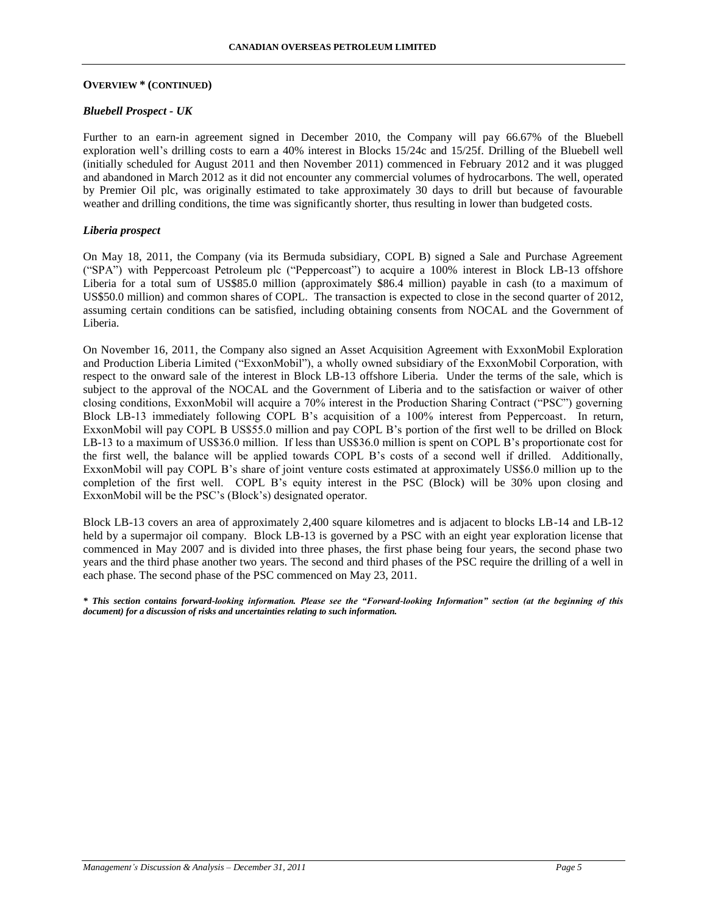#### **OVERVIEW \* (CONTINUED)**

## *Bluebell Prospect - UK*

Further to an earn-in agreement signed in December 2010, the Company will pay 66.67% of the Bluebell exploration well's drilling costs to earn a 40% interest in Blocks 15/24c and 15/25f. Drilling of the Bluebell well (initially scheduled for August 2011 and then November 2011) commenced in February 2012 and it was plugged and abandoned in March 2012 as it did not encounter any commercial volumes of hydrocarbons. The well, operated by Premier Oil plc, was originally estimated to take approximately 30 days to drill but because of favourable weather and drilling conditions, the time was significantly shorter, thus resulting in lower than budgeted costs.

## *Liberia prospect*

On May 18, 2011, the Company (via its Bermuda subsidiary, COPL B) signed a Sale and Purchase Agreement ("SPA") with Peppercoast Petroleum plc ("Peppercoast") to acquire a 100% interest in Block LB-13 offshore Liberia for a total sum of US\$85.0 million (approximately \$86.4 million) payable in cash (to a maximum of US\$50.0 million) and common shares of COPL. The transaction is expected to close in the second quarter of 2012, assuming certain conditions can be satisfied, including obtaining consents from NOCAL and the Government of Liberia.

On November 16, 2011, the Company also signed an Asset Acquisition Agreement with ExxonMobil Exploration and Production Liberia Limited ("ExxonMobil"), a wholly owned subsidiary of the ExxonMobil Corporation, with respect to the onward sale of the interest in Block LB-13 offshore Liberia. Under the terms of the sale, which is subject to the approval of the NOCAL and the Government of Liberia and to the satisfaction or waiver of other closing conditions, ExxonMobil will acquire a 70% interest in the Production Sharing Contract ("PSC") governing Block LB-13 immediately following COPL B's acquisition of a 100% interest from Peppercoast. In return, ExxonMobil will pay COPL B US\$55.0 million and pay COPL B's portion of the first well to be drilled on Block LB-13 to a maximum of US\$36.0 million. If less than US\$36.0 million is spent on COPL B's proportionate cost for the first well, the balance will be applied towards COPL B's costs of a second well if drilled. Additionally, ExxonMobil will pay COPL B's share of joint venture costs estimated at approximately US\$6.0 million up to the completion of the first well. COPL B's equity interest in the PSC (Block) will be 30% upon closing and ExxonMobil will be the PSC's (Block's) designated operator.

Block LB-13 covers an area of approximately 2,400 square kilometres and is adjacent to blocks LB-14 and LB-12 held by a supermajor oil company. Block LB-13 is governed by a PSC with an eight year exploration license that commenced in May 2007 and is divided into three phases, the first phase being four years, the second phase two years and the third phase another two years. The second and third phases of the PSC require the drilling of a well in each phase. The second phase of the PSC commenced on May 23, 2011.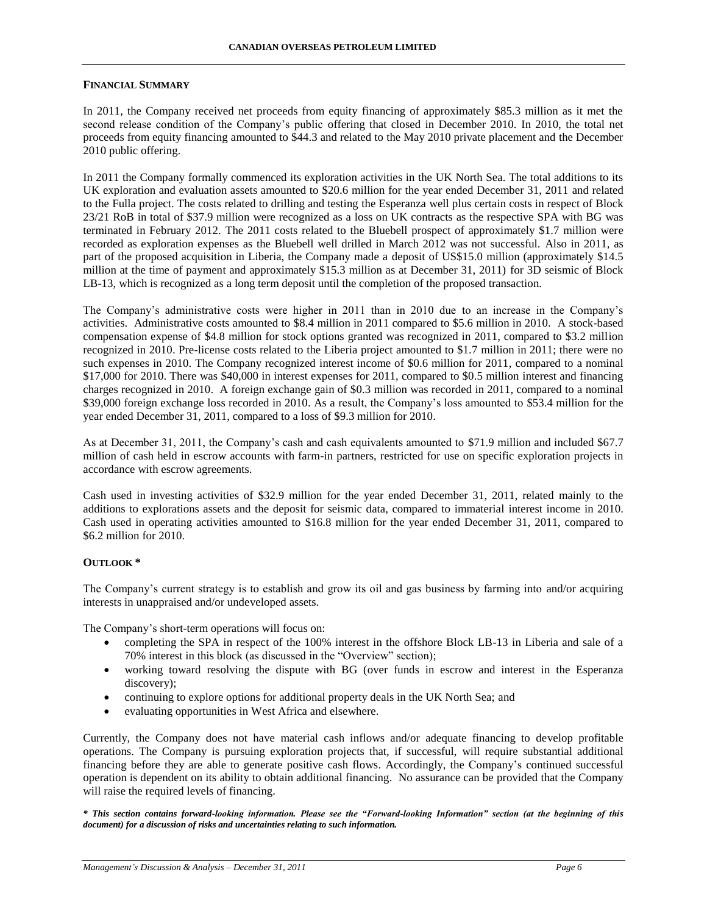## **FINANCIAL SUMMARY**

In 2011, the Company received net proceeds from equity financing of approximately \$85.3 million as it met the second release condition of the Company's public offering that closed in December 2010. In 2010, the total net proceeds from equity financing amounted to \$44.3 and related to the May 2010 private placement and the December 2010 public offering.

In 2011 the Company formally commenced its exploration activities in the UK North Sea. The total additions to its UK exploration and evaluation assets amounted to \$20.6 million for the year ended December 31, 2011 and related to the Fulla project. The costs related to drilling and testing the Esperanza well plus certain costs in respect of Block 23/21 RoB in total of \$37.9 million were recognized as a loss on UK contracts as the respective SPA with BG was terminated in February 2012. The 2011 costs related to the Bluebell prospect of approximately \$1.7 million were recorded as exploration expenses as the Bluebell well drilled in March 2012 was not successful. Also in 2011, as part of the proposed acquisition in Liberia, the Company made a deposit of US\$15.0 million (approximately \$14.5 million at the time of payment and approximately \$15.3 million as at December 31, 2011) for 3D seismic of Block LB-13, which is recognized as a long term deposit until the completion of the proposed transaction.

The Company's administrative costs were higher in 2011 than in 2010 due to an increase in the Company's activities. Administrative costs amounted to \$8.4 million in 2011 compared to \$5.6 million in 2010. A stock-based compensation expense of \$4.8 million for stock options granted was recognized in 2011, compared to \$3.2 million recognized in 2010. Pre-license costs related to the Liberia project amounted to \$1.7 million in 2011; there were no such expenses in 2010. The Company recognized interest income of \$0.6 million for 2011, compared to a nominal \$17,000 for 2010. There was \$40,000 in interest expenses for 2011, compared to \$0.5 million interest and financing charges recognized in 2010. A foreign exchange gain of \$0.3 million was recorded in 2011, compared to a nominal \$39,000 foreign exchange loss recorded in 2010. As a result, the Company's loss amounted to \$53.4 million for the year ended December 31, 2011, compared to a loss of \$9.3 million for 2010.

As at December 31, 2011, the Company's cash and cash equivalents amounted to \$71.9 million and included \$67.7 million of cash held in escrow accounts with farm-in partners, restricted for use on specific exploration projects in accordance with escrow agreements.

Cash used in investing activities of \$32.9 million for the year ended December 31, 2011, related mainly to the additions to explorations assets and the deposit for seismic data, compared to immaterial interest income in 2010. Cash used in operating activities amounted to \$16.8 million for the year ended December 31, 2011, compared to \$6.2 million for 2010.

# **OUTLOOK \***

The Company's current strategy is to establish and grow its oil and gas business by farming into and/or acquiring interests in unappraised and/or undeveloped assets.

The Company's short-term operations will focus on:

- completing the SPA in respect of the 100% interest in the offshore Block LB-13 in Liberia and sale of a 70% interest in this block (as discussed in the "Overview" section);
- working toward resolving the dispute with BG (over funds in escrow and interest in the Esperanza discovery);
- continuing to explore options for additional property deals in the UK North Sea; and
- evaluating opportunities in West Africa and elsewhere.

Currently, the Company does not have material cash inflows and/or adequate financing to develop profitable operations. The Company is pursuing exploration projects that, if successful, will require substantial additional financing before they are able to generate positive cash flows. Accordingly, the Company's continued successful operation is dependent on its ability to obtain additional financing. No assurance can be provided that the Company will raise the required levels of financing.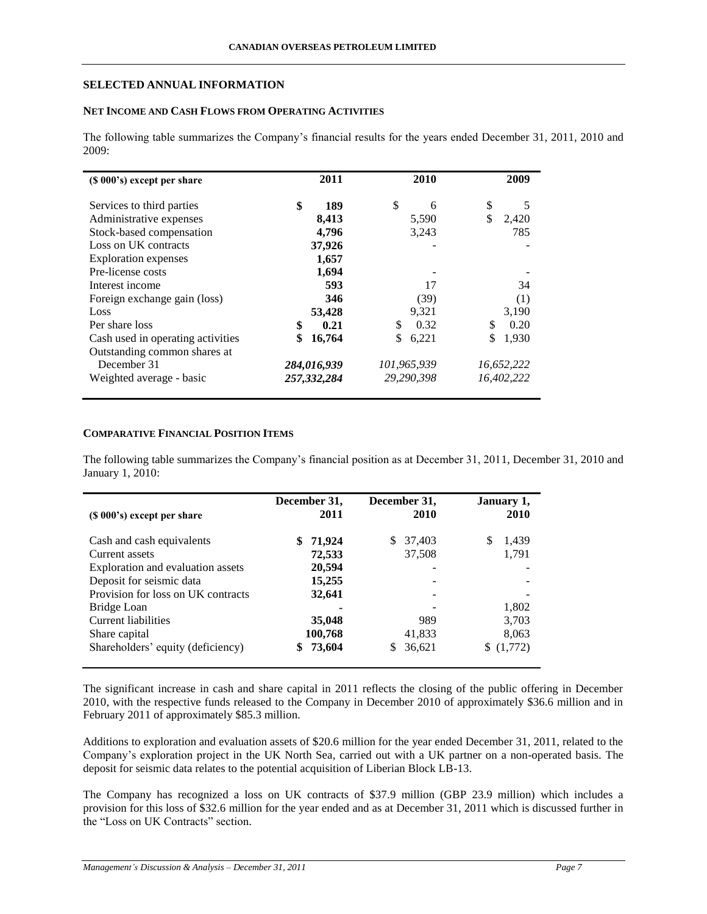## **SELECTED ANNUAL INFORMATION**

## **NET INCOME AND CASH FLOWS FROM OPERATING ACTIVITIES**

The following table summarizes the Company's financial results for the years ended December 31, 2011, 2010 and 2009:

| (\$ 000's) except per share       | 2011        | 2010        | 2009        |
|-----------------------------------|-------------|-------------|-------------|
| Services to third parties         | \$<br>189   | \$<br>6     | \$<br>5     |
| Administrative expenses           | 8,413       | 5,590       | \$<br>2,420 |
| Stock-based compensation          | 4,796       | 3,243       | 785         |
| Loss on UK contracts              | 37,926      |             |             |
| <b>Exploration</b> expenses       | 1,657       |             |             |
| Pre-license costs                 | 1,694       |             |             |
| Interest income                   | 593         | 17          | 34          |
| Foreign exchange gain (loss)      | 346         | (39)        | (1)         |
| Loss                              | 53,428      | 9,321       | 3,190       |
| Per share loss                    | \$<br>0.21  | \$<br>0.32  | \$<br>0.20  |
| Cash used in operating activities | 16,764      | \$<br>6,221 | 1,930       |
| Outstanding common shares at      |             |             |             |
| December 31                       | 284,016,939 | 101,965,939 | 16,652,222  |
| Weighted average - basic          | 257,332,284 | 29.290.398  | 16.402.222  |

## **COMPARATIVE FINANCIAL POSITION ITEMS**

The following table summarizes the Company's financial position as at December 31, 2011, December 31, 2010 and January 1, 2010:

| $(S 000's)$ except per share       | December 31,<br>2011 | December 31,<br>2010 | January 1,<br>2010 |
|------------------------------------|----------------------|----------------------|--------------------|
| Cash and cash equivalents          | 71,924<br>S          | 37,403<br>\$.        | \$<br>1,439        |
| Current assets                     | 72,533               | 37,508               | 1,791              |
| Exploration and evaluation assets  | 20,594               |                      |                    |
| Deposit for seismic data           | 15,255               |                      |                    |
| Provision for loss on UK contracts | 32,641               |                      |                    |
| Bridge Loan                        |                      |                      | 1.802              |
| <b>Current liabilities</b>         | 35,048               | 989                  | 3,703              |
| Share capital                      | 100,768              | 41.833               | 8,063              |
| Shareholders' equity (deficiency)  | 73,604<br>\$         | 36.621               | (1,772)            |

The significant increase in cash and share capital in 2011 reflects the closing of the public offering in December 2010, with the respective funds released to the Company in December 2010 of approximately \$36.6 million and in February 2011 of approximately \$85.3 million.

Additions to exploration and evaluation assets of \$20.6 million for the year ended December 31, 2011, related to the Company's exploration project in the UK North Sea, carried out with a UK partner on a non-operated basis. The deposit for seismic data relates to the potential acquisition of Liberian Block LB-13.

The Company has recognized a loss on UK contracts of \$37.9 million (GBP 23.9 million) which includes a provision for this loss of \$32.6 million for the year ended and as at December 31, 2011 which is discussed further in the "Loss on UK Contracts" section.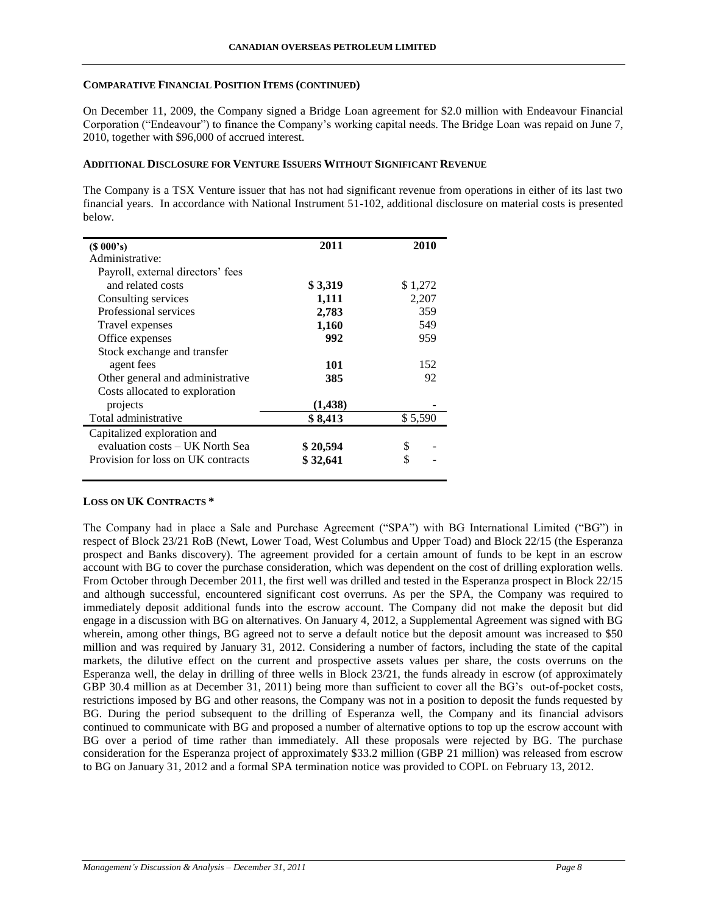## **COMPARATIVE FINANCIAL POSITION ITEMS (CONTINUED)**

On December 11, 2009, the Company signed a Bridge Loan agreement for \$2.0 million with Endeavour Financial Corporation ("Endeavour") to finance the Company's working capital needs. The Bridge Loan was repaid on June 7, 2010, together with \$96,000 of accrued interest.

## **ADDITIONAL DISCLOSURE FOR VENTURE ISSUERS WITHOUT SIGNIFICANT REVENUE**

The Company is a TSX Venture issuer that has not had significant revenue from operations in either of its last two financial years. In accordance with National Instrument 51-102, additional disclosure on material costs is presented below.

| (S 000's)                          | 2011     | 2010    |
|------------------------------------|----------|---------|
| Administrative:                    |          |         |
| Payroll, external directors' fees  |          |         |
| and related costs                  | \$3,319  | \$1,272 |
| Consulting services                | 1,111    | 2,207   |
| Professional services              | 2,783    | 359     |
| Travel expenses                    | 1,160    | 549     |
| Office expenses                    | 992      | 959     |
| Stock exchange and transfer        |          |         |
| agent fees                         | 101      | 152     |
| Other general and administrative   | 385      | 92      |
| Costs allocated to exploration     |          |         |
| projects                           | (1,438)  |         |
| Total administrative               | \$8,413  | \$5,590 |
| Capitalized exploration and        |          |         |
| evaluation costs – UK North Sea    | \$20,594 | \$      |
| Provision for loss on UK contracts | \$32,641 | \$      |
|                                    |          |         |

# **LOSS ON UK CONTRACTS \***

The Company had in place a Sale and Purchase Agreement ("SPA") with BG International Limited ("BG") in respect of Block 23/21 RoB (Newt, Lower Toad, West Columbus and Upper Toad) and Block 22/15 (the Esperanza prospect and Banks discovery). The agreement provided for a certain amount of funds to be kept in an escrow account with BG to cover the purchase consideration, which was dependent on the cost of drilling exploration wells. From October through December 2011, the first well was drilled and tested in the Esperanza prospect in Block 22/15 and although successful, encountered significant cost overruns. As per the SPA, the Company was required to immediately deposit additional funds into the escrow account. The Company did not make the deposit but did engage in a discussion with BG on alternatives. On January 4, 2012, a Supplemental Agreement was signed with BG wherein, among other things, BG agreed not to serve a default notice but the deposit amount was increased to \$50 million and was required by January 31, 2012. Considering a number of factors, including the state of the capital markets, the dilutive effect on the current and prospective assets values per share, the costs overruns on the Esperanza well, the delay in drilling of three wells in Block 23/21, the funds already in escrow (of approximately GBP 30.4 million as at December 31, 2011) being more than sufficient to cover all the BG's out-of-pocket costs, restrictions imposed by BG and other reasons, the Company was not in a position to deposit the funds requested by BG. During the period subsequent to the drilling of Esperanza well, the Company and its financial advisors continued to communicate with BG and proposed a number of alternative options to top up the escrow account with BG over a period of time rather than immediately. All these proposals were rejected by BG. The purchase consideration for the Esperanza project of approximately \$33.2 million (GBP 21 million) was released from escrow to BG on January 31, 2012 and a formal SPA termination notice was provided to COPL on February 13, 2012.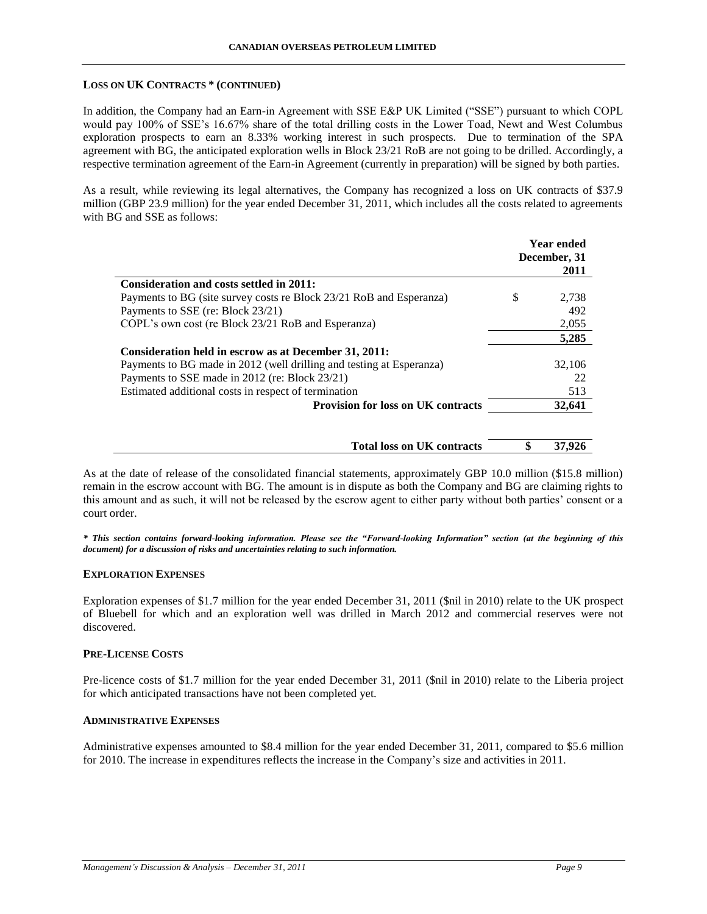#### **LOSS ON UK CONTRACTS \* (CONTINUED)**

In addition, the Company had an Earn-in Agreement with SSE E&P UK Limited ("SSE") pursuant to which COPL would pay 100% of SSE's 16.67% share of the total drilling costs in the Lower Toad, Newt and West Columbus exploration prospects to earn an 8.33% working interest in such prospects. Due to termination of the SPA agreement with BG, the anticipated exploration wells in Block 23/21 RoB are not going to be drilled. Accordingly, a respective termination agreement of the Earn-in Agreement (currently in preparation) will be signed by both parties.

As a result, while reviewing its legal alternatives, the Company has recognized a loss on UK contracts of \$37.9 million (GBP 23.9 million) for the year ended December 31, 2011, which includes all the costs related to agreements with BG and SSE as follows:

|                                                                      |   | <b>Year ended</b><br>December, 31 |
|----------------------------------------------------------------------|---|-----------------------------------|
|                                                                      |   | 2011                              |
| Consideration and costs settled in 2011:                             |   |                                   |
| Payments to BG (site survey costs re Block 23/21 RoB and Esperanza)  | S | 2,738                             |
| Payments to SSE (re: Block 23/21)                                    |   | 492                               |
| COPL's own cost (re Block 23/21 RoB and Esperanza)                   |   | 2,055                             |
|                                                                      |   | 5,285                             |
| Consideration held in escrow as at December 31, 2011:                |   |                                   |
| Payments to BG made in 2012 (well drilling and testing at Esperanza) |   | 32,106                            |
| Payments to SSE made in 2012 (re: Block 23/21)                       |   | 22                                |
| Estimated additional costs in respect of termination                 |   | 513                               |
| <b>Provision for loss on UK contracts</b>                            |   | 32,641                            |
|                                                                      |   |                                   |

|  | <b>Total loss on UK contracts</b> |  | 37.926 |  |
|--|-----------------------------------|--|--------|--|
|--|-----------------------------------|--|--------|--|

As at the date of release of the consolidated financial statements, approximately GBP 10.0 million (\$15.8 million) remain in the escrow account with BG. The amount is in dispute as both the Company and BG are claiming rights to this amount and as such, it will not be released by the escrow agent to either party without both parties' consent or a court order.

*\* This section contains forward-looking information. Please see the "Forward-looking Information" section (at the beginning of this document) for a discussion of risks and uncertainties relating to such information.*

#### **EXPLORATION EXPENSES**

Exploration expenses of \$1.7 million for the year ended December 31, 2011 (\$nil in 2010) relate to the UK prospect of Bluebell for which and an exploration well was drilled in March 2012 and commercial reserves were not discovered.

## **PRE-LICENSE COSTS**

Pre-licence costs of \$1.7 million for the year ended December 31, 2011 (\$nil in 2010) relate to the Liberia project for which anticipated transactions have not been completed yet.

### **ADMINISTRATIVE EXPENSES**

Administrative expenses amounted to \$8.4 million for the year ended December 31, 2011, compared to \$5.6 million for 2010. The increase in expenditures reflects the increase in the Company's size and activities in 2011.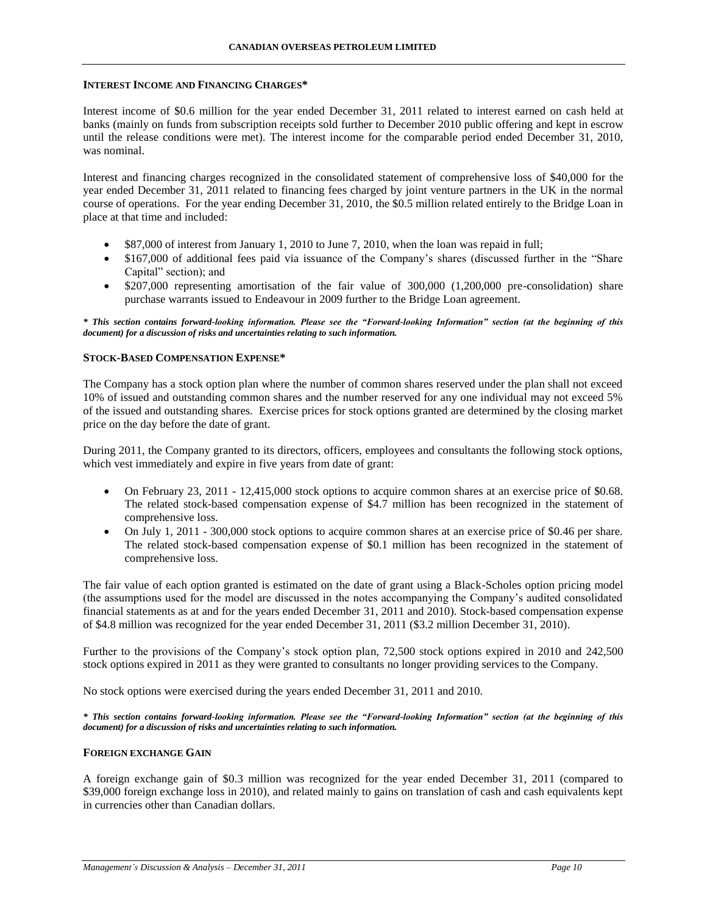#### **INTEREST INCOME AND FINANCING CHARGES\***

Interest income of \$0.6 million for the year ended December 31, 2011 related to interest earned on cash held at banks (mainly on funds from subscription receipts sold further to December 2010 public offering and kept in escrow until the release conditions were met). The interest income for the comparable period ended December 31, 2010, was nominal.

Interest and financing charges recognized in the consolidated statement of comprehensive loss of \$40,000 for the year ended December 31, 2011 related to financing fees charged by joint venture partners in the UK in the normal course of operations. For the year ending December 31, 2010, the \$0.5 million related entirely to the Bridge Loan in place at that time and included:

- \$87,000 of interest from January 1, 2010 to June 7, 2010, when the loan was repaid in full;
- \$167,000 of additional fees paid via issuance of the Company's shares (discussed further in the "Share Capital" section); and
- \$207,000 representing amortisation of the fair value of 300,000 (1,200,000 pre-consolidation) share purchase warrants issued to Endeavour in 2009 further to the Bridge Loan agreement.

*\* This section contains forward-looking information. Please see the "Forward-looking Information" section (at the beginning of this document) for a discussion of risks and uncertainties relating to such information.*

#### **STOCK-BASED COMPENSATION EXPENSE\***

The Company has a stock option plan where the number of common shares reserved under the plan shall not exceed 10% of issued and outstanding common shares and the number reserved for any one individual may not exceed 5% of the issued and outstanding shares. Exercise prices for stock options granted are determined by the closing market price on the day before the date of grant.

During 2011, the Company granted to its directors, officers, employees and consultants the following stock options, which vest immediately and expire in five years from date of grant:

- On February 23, 2011 12,415,000 stock options to acquire common shares at an exercise price of \$0.68. The related stock-based compensation expense of \$4.7 million has been recognized in the statement of comprehensive loss.
- On July 1, 2011 300,000 stock options to acquire common shares at an exercise price of \$0.46 per share. The related stock-based compensation expense of \$0.1 million has been recognized in the statement of comprehensive loss.

The fair value of each option granted is estimated on the date of grant using a Black-Scholes option pricing model (the assumptions used for the model are discussed in the notes accompanying the Company's audited consolidated financial statements as at and for the years ended December 31, 2011 and 2010). Stock-based compensation expense of \$4.8 million was recognized for the year ended December 31, 2011 (\$3.2 million December 31, 2010).

Further to the provisions of the Company's stock option plan, 72,500 stock options expired in 2010 and 242,500 stock options expired in 2011 as they were granted to consultants no longer providing services to the Company.

No stock options were exercised during the years ended December 31, 2011 and 2010.

*\* This section contains forward-looking information. Please see the "Forward-looking Information" section (at the beginning of this document) for a discussion of risks and uncertainties relating to such information.*

#### **FOREIGN EXCHANGE GAIN**

A foreign exchange gain of \$0.3 million was recognized for the year ended December 31, 2011 (compared to \$39,000 foreign exchange loss in 2010), and related mainly to gains on translation of cash and cash equivalents kept in currencies other than Canadian dollars.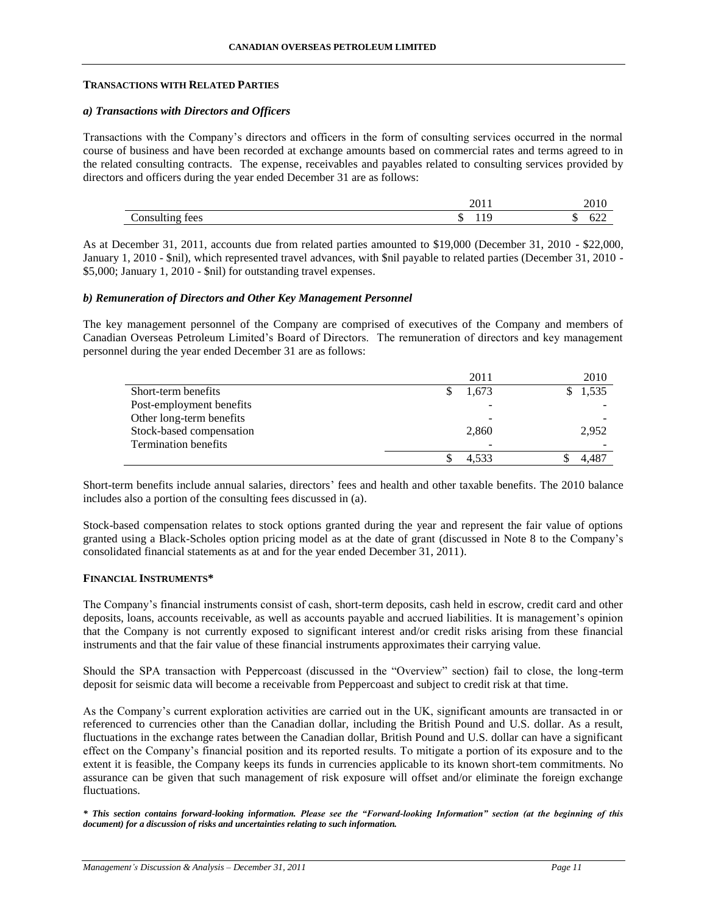#### **TRANSACTIONS WITH RELATED PARTIES**

## *a) Transactions with Directors and Officers*

Transactions with the Company's directors and officers in the form of consulting services occurred in the normal course of business and have been recorded at exchange amounts based on commercial rates and terms agreed to in the related consulting contracts. The expense, receivables and payables related to consulting services provided by directors and officers during the year ended December 31 are as follows:

| `onei<br>$\epsilon$ | . . | . |
|---------------------|-----|---|

As at December 31, 2011, accounts due from related parties amounted to \$19,000 (December 31, 2010 - \$22,000, January 1, 2010 - \$nil), which represented travel advances, with \$nil payable to related parties (December 31, 2010 - \$5,000; January 1, 2010 - \$nil) for outstanding travel expenses.

## *b) Remuneration of Directors and Other Key Management Personnel*

The key management personnel of the Company are comprised of executives of the Company and members of Canadian Overseas Petroleum Limited's Board of Directors. The remuneration of directors and key management personnel during the year ended December 31 are as follows:

|                             | 2011  | 2010  |
|-----------------------------|-------|-------|
| Short-term benefits         | 1.673 | 1,535 |
| Post-employment benefits    |       |       |
| Other long-term benefits    |       |       |
| Stock-based compensation    | 2,860 | 2,952 |
| <b>Termination benefits</b> |       |       |
|                             | 4.533 |       |

Short-term benefits include annual salaries, directors' fees and health and other taxable benefits. The 2010 balance includes also a portion of the consulting fees discussed in (a).

Stock-based compensation relates to stock options granted during the year and represent the fair value of options granted using a Black-Scholes option pricing model as at the date of grant (discussed in Note 8 to the Company's consolidated financial statements as at and for the year ended December 31, 2011).

## **FINANCIAL INSTRUMENTS\***

The Company's financial instruments consist of cash, short-term deposits, cash held in escrow, credit card and other deposits, loans, accounts receivable, as well as accounts payable and accrued liabilities. It is management's opinion that the Company is not currently exposed to significant interest and/or credit risks arising from these financial instruments and that the fair value of these financial instruments approximates their carrying value.

Should the SPA transaction with Peppercoast (discussed in the "Overview" section) fail to close, the long-term deposit for seismic data will become a receivable from Peppercoast and subject to credit risk at that time.

As the Company's current exploration activities are carried out in the UK, significant amounts are transacted in or referenced to currencies other than the Canadian dollar, including the British Pound and U.S. dollar. As a result, fluctuations in the exchange rates between the Canadian dollar, British Pound and U.S. dollar can have a significant effect on the Company's financial position and its reported results. To mitigate a portion of its exposure and to the extent it is feasible, the Company keeps its funds in currencies applicable to its known short-tem commitments. No assurance can be given that such management of risk exposure will offset and/or eliminate the foreign exchange fluctuations.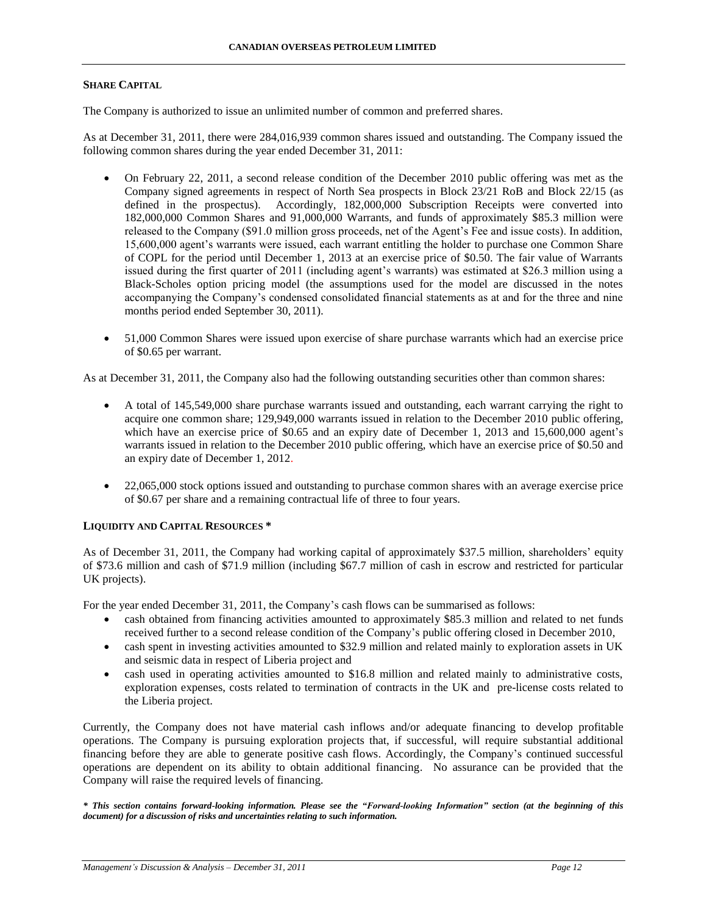## **SHARE CAPITAL**

The Company is authorized to issue an unlimited number of common and preferred shares.

As at December 31, 2011, there were 284,016,939 common shares issued and outstanding. The Company issued the following common shares during the year ended December 31, 2011:

- On February 22, 2011, a second release condition of the December 2010 public offering was met as the Company signed agreements in respect of North Sea prospects in Block 23/21 RoB and Block 22/15 (as defined in the prospectus). Accordingly, 182,000,000 Subscription Receipts were converted into 182,000,000 Common Shares and 91,000,000 Warrants, and funds of approximately \$85.3 million were released to the Company (\$91.0 million gross proceeds, net of the Agent's Fee and issue costs). In addition, 15,600,000 agent's warrants were issued, each warrant entitling the holder to purchase one Common Share of COPL for the period until December 1, 2013 at an exercise price of \$0.50. The fair value of Warrants issued during the first quarter of 2011 (including agent's warrants) was estimated at \$26.3 million using a Black-Scholes option pricing model (the assumptions used for the model are discussed in the notes accompanying the Company's condensed consolidated financial statements as at and for the three and nine months period ended September 30, 2011).
- 51,000 Common Shares were issued upon exercise of share purchase warrants which had an exercise price of \$0.65 per warrant.

As at December 31, 2011, the Company also had the following outstanding securities other than common shares:

- A total of 145,549,000 share purchase warrants issued and outstanding, each warrant carrying the right to acquire one common share; 129,949,000 warrants issued in relation to the December 2010 public offering, which have an exercise price of \$0.65 and an expiry date of December 1, 2013 and 15,600,000 agent's warrants issued in relation to the December 2010 public offering, which have an exercise price of \$0.50 and an expiry date of December 1, 2012.
- 22,065,000 stock options issued and outstanding to purchase common shares with an average exercise price of \$0.67 per share and a remaining contractual life of three to four years.

# **LIQUIDITY AND CAPITAL RESOURCES \***

As of December 31, 2011, the Company had working capital of approximately \$37.5 million, shareholders' equity of \$73.6 million and cash of \$71.9 million (including \$67.7 million of cash in escrow and restricted for particular UK projects).

For the year ended December 31, 2011, the Company's cash flows can be summarised as follows:

- cash obtained from financing activities amounted to approximately \$85.3 million and related to net funds received further to a second release condition of the Company's public offering closed in December 2010,
- cash spent in investing activities amounted to \$32.9 million and related mainly to exploration assets in UK and seismic data in respect of Liberia project and
- cash used in operating activities amounted to \$16.8 million and related mainly to administrative costs, exploration expenses, costs related to termination of contracts in the UK and pre-license costs related to the Liberia project.

Currently, the Company does not have material cash inflows and/or adequate financing to develop profitable operations. The Company is pursuing exploration projects that, if successful, will require substantial additional financing before they are able to generate positive cash flows. Accordingly, the Company's continued successful operations are dependent on its ability to obtain additional financing. No assurance can be provided that the Company will raise the required levels of financing.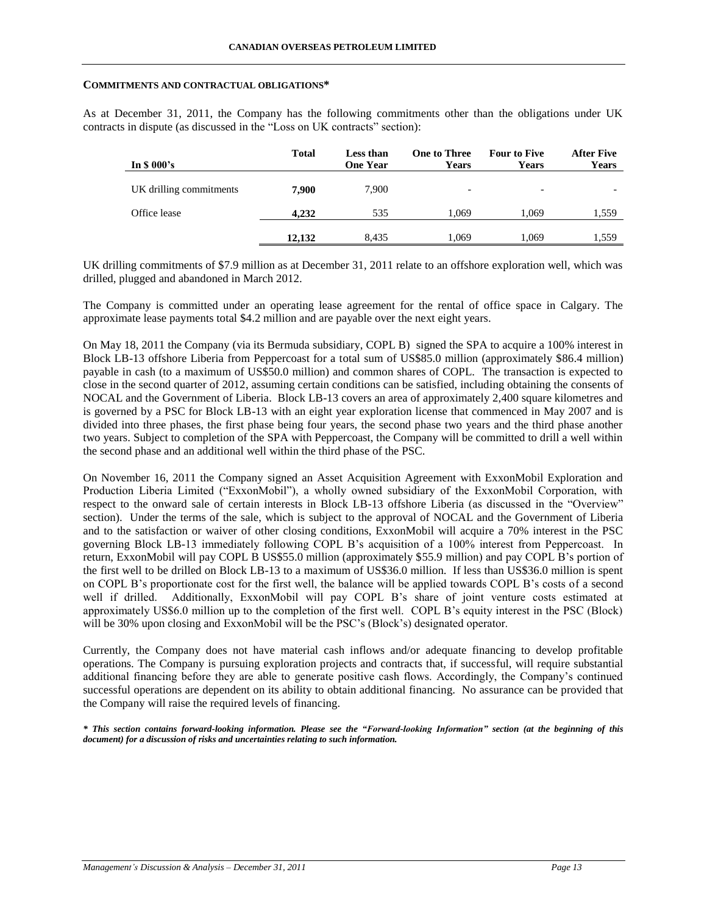#### **COMMITMENTS AND CONTRACTUAL OBLIGATIONS\***

As at December 31, 2011, the Company has the following commitments other than the obligations under UK contracts in dispute (as discussed in the "Loss on UK contracts" section):

| In $$000's$             | <b>Total</b> | Less than<br><b>One Year</b> | <b>One to Three</b><br><b>Years</b> | <b>Four to Five</b><br><b>Years</b> | <b>After Five</b><br>Years |
|-------------------------|--------------|------------------------------|-------------------------------------|-------------------------------------|----------------------------|
| UK drilling commitments | 7.900        | 7.900                        | $\overline{\phantom{0}}$            | $\overline{\phantom{a}}$            |                            |
| Office lease            | 4.232        | 535                          | 1.069                               | 1,069                               | 1,559                      |
|                         | 12.132       | 8.435                        | 1.069                               | 1.069                               | 1,559                      |

UK drilling commitments of \$7.9 million as at December 31, 2011 relate to an offshore exploration well, which was drilled, plugged and abandoned in March 2012.

The Company is committed under an operating lease agreement for the rental of office space in Calgary. The approximate lease payments total \$4.2 million and are payable over the next eight years.

On May 18, 2011 the Company (via its Bermuda subsidiary, COPL B) signed the SPA to acquire a 100% interest in Block LB-13 offshore Liberia from Peppercoast for a total sum of US\$85.0 million (approximately \$86.4 million) payable in cash (to a maximum of US\$50.0 million) and common shares of COPL. The transaction is expected to close in the second quarter of 2012, assuming certain conditions can be satisfied, including obtaining the consents of NOCAL and the Government of Liberia. Block LB-13 covers an area of approximately 2,400 square kilometres and is governed by a PSC for Block LB-13 with an eight year exploration license that commenced in May 2007 and is divided into three phases, the first phase being four years, the second phase two years and the third phase another two years. Subject to completion of the SPA with Peppercoast, the Company will be committed to drill a well within the second phase and an additional well within the third phase of the PSC.

On November 16, 2011 the Company signed an Asset Acquisition Agreement with ExxonMobil Exploration and Production Liberia Limited ("ExxonMobil"), a wholly owned subsidiary of the ExxonMobil Corporation, with respect to the onward sale of certain interests in Block LB-13 offshore Liberia (as discussed in the "Overview" section). Under the terms of the sale, which is subject to the approval of NOCAL and the Government of Liberia and to the satisfaction or waiver of other closing conditions, ExxonMobil will acquire a 70% interest in the PSC governing Block LB-13 immediately following COPL B's acquisition of a 100% interest from Peppercoast. In return, ExxonMobil will pay COPL B US\$55.0 million (approximately \$55.9 million) and pay COPL B's portion of the first well to be drilled on Block LB-13 to a maximum of US\$36.0 million. If less than US\$36.0 million is spent on COPL B's proportionate cost for the first well, the balance will be applied towards COPL B's costs of a second well if drilled. Additionally, ExxonMobil will pay COPL B's share of joint venture costs estimated at approximately US\$6.0 million up to the completion of the first well. COPL B's equity interest in the PSC (Block) will be 30% upon closing and ExxonMobil will be the PSC's (Block's) designated operator.

Currently, the Company does not have material cash inflows and/or adequate financing to develop profitable operations. The Company is pursuing exploration projects and contracts that, if successful, will require substantial additional financing before they are able to generate positive cash flows. Accordingly, the Company's continued successful operations are dependent on its ability to obtain additional financing. No assurance can be provided that the Company will raise the required levels of financing.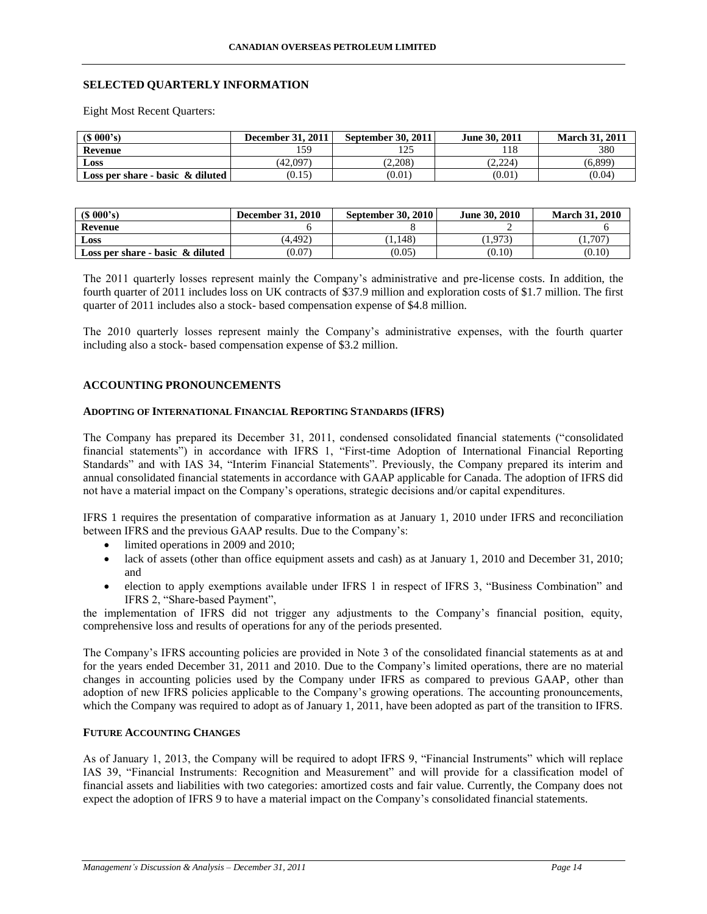# **SELECTED QUARTERLY INFORMATION**

Eight Most Recent Quarters:

| (S 000's)                           | <b>December 31, 2011</b> | September 30, 2011 | June 30, 2011 | <b>March 31, 2011</b> |
|-------------------------------------|--------------------------|--------------------|---------------|-----------------------|
| Revenue                             | 159                      | 125                | l 18          | 380                   |
| Loss                                | (42.097)                 | (2.208)            | (2.224)       | (6.899)               |
| Loss per share - basic $\&$ diluted | (0.15)                   | (0.01)             | (0.01)        | (0.04)                |

| (S 000's)                           | <b>December 31, 2010</b> | <b>September 30, 2010</b> | <b>June 30, 2010</b> | <b>March 31, 2010</b> |
|-------------------------------------|--------------------------|---------------------------|----------------------|-----------------------|
| Revenue                             |                          |                           | -                    |                       |
| Loss                                | (4.492)                  | 1.148                     | 1.973)               | 1,707                 |
| Loss per share - basic $\&$ diluted | (0.07)                   | (0.05)                    | (0.10)               | (0.10)                |

The 2011 quarterly losses represent mainly the Company's administrative and pre-license costs. In addition, the fourth quarter of 2011 includes loss on UK contracts of \$37.9 million and exploration costs of \$1.7 million. The first quarter of 2011 includes also a stock- based compensation expense of \$4.8 million.

The 2010 quarterly losses represent mainly the Company's administrative expenses, with the fourth quarter including also a stock- based compensation expense of \$3.2 million.

## **ACCOUNTING PRONOUNCEMENTS**

#### **ADOPTING OF INTERNATIONAL FINANCIAL REPORTING STANDARDS (IFRS)**

The Company has prepared its December 31, 2011, condensed consolidated financial statements ("consolidated financial statements") in accordance with IFRS 1, "First-time Adoption of International Financial Reporting Standards" and with IAS 34, "Interim Financial Statements". Previously, the Company prepared its interim and annual consolidated financial statements in accordance with GAAP applicable for Canada. The adoption of IFRS did not have a material impact on the Company's operations, strategic decisions and/or capital expenditures.

IFRS 1 requires the presentation of comparative information as at January 1, 2010 under IFRS and reconciliation between IFRS and the previous GAAP results. Due to the Company's:

- limited operations in 2009 and 2010;
- lack of assets (other than office equipment assets and cash) as at January 1, 2010 and December 31, 2010; and
- election to apply exemptions available under IFRS 1 in respect of IFRS 3, "Business Combination" and IFRS 2, "Share-based Payment",

the implementation of IFRS did not trigger any adjustments to the Company's financial position, equity, comprehensive loss and results of operations for any of the periods presented.

The Company's IFRS accounting policies are provided in Note 3 of the consolidated financial statements as at and for the years ended December 31, 2011 and 2010. Due to the Company's limited operations, there are no material changes in accounting policies used by the Company under IFRS as compared to previous GAAP, other than adoption of new IFRS policies applicable to the Company's growing operations. The accounting pronouncements, which the Company was required to adopt as of January 1, 2011, have been adopted as part of the transition to IFRS.

# **FUTURE ACCOUNTING CHANGES**

As of January 1, 2013, the Company will be required to adopt IFRS 9, "Financial Instruments" which will replace IAS 39, "Financial Instruments: Recognition and Measurement" and will provide for a classification model of financial assets and liabilities with two categories: amortized costs and fair value. Currently, the Company does not expect the adoption of IFRS 9 to have a material impact on the Company's consolidated financial statements.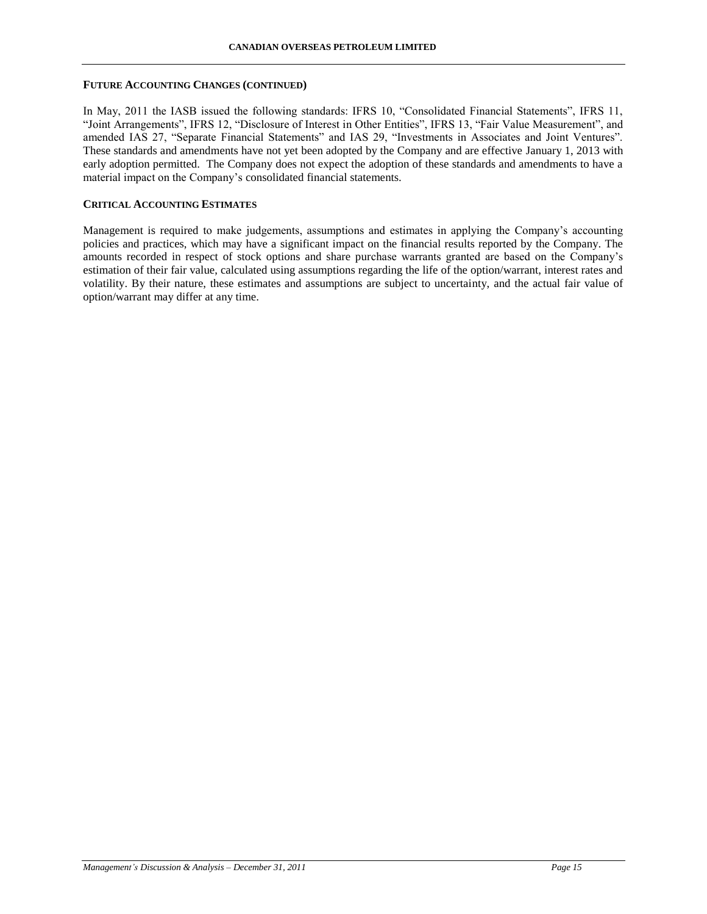## **FUTURE ACCOUNTING CHANGES (CONTINUED)**

In May, 2011 the IASB issued the following standards: IFRS 10, "Consolidated Financial Statements", IFRS 11, "Joint Arrangements", IFRS 12, "Disclosure of Interest in Other Entities", IFRS 13, "Fair Value Measurement", and amended IAS 27, "Separate Financial Statements" and IAS 29, "Investments in Associates and Joint Ventures". These standards and amendments have not yet been adopted by the Company and are effective January 1, 2013 with early adoption permitted. The Company does not expect the adoption of these standards and amendments to have a material impact on the Company's consolidated financial statements.

## **CRITICAL ACCOUNTING ESTIMATES**

Management is required to make judgements, assumptions and estimates in applying the Company's accounting policies and practices, which may have a significant impact on the financial results reported by the Company. The amounts recorded in respect of stock options and share purchase warrants granted are based on the Company's estimation of their fair value, calculated using assumptions regarding the life of the option/warrant, interest rates and volatility. By their nature, these estimates and assumptions are subject to uncertainty, and the actual fair value of option/warrant may differ at any time.